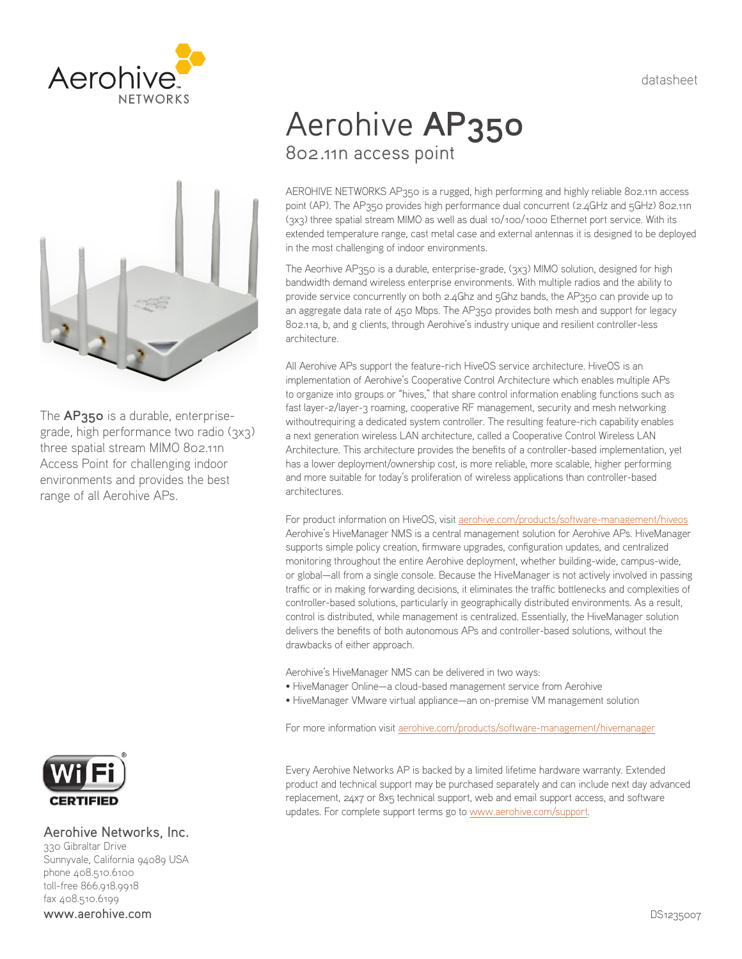datasheet





The **AP350** is a durable, enterprisegrade, high performance two radio (3x3) three spatial stream MIMO 802.11n Access Point for challenging indoor environments and provides the best range of all Aerohive APs.



# Aerohive Networks, Inc.

330 Gibraltar Drive Sunnyvale, California 94089 USA phone 408.510.6100 toll-free 866.918.9918 fax 408.510.6199 www.aerohive.com

# Aerohive **AP350** 802.11n access point

AEROHIVE NETWORKS AP350 is a rugged, high performing and highly reliable 802.11n access point (AP). The AP350 provides high performance dual concurrent (2.4GHz and 5GHz) 802.11n (3x3) three spatial stream MIMO as well as dual 10/100/1000 Ethernet port service. With its extended temperature range, cast metal case and external antennas it is designed to be deployed in the most challenging of indoor environments.

The Aeorhive AP350 is a durable, enterprise-grade, (3x3) MIMO solution, designed for high bandwidth demand wireless enterprise environments. With multiple radios and the ability to provide service concurrently on both 2.4Ghz and 5Ghz bands, the AP350 can provide up to an aggregate data rate of 450 Mbps. The AP350 provides both mesh and support for legacy 802.11a, b, and g clients, through Aerohive's industry unique and resilient controller-less architecture.

All Aerohive APs support the feature-rich HiveOS service architecture. HiveOS is an implementation of Aerohive's Cooperative Control Architecture which enables multiple APs to organize into groups or "hives," that share control information enabling functions such as fast layer-2/layer-3 roaming, cooperative RF management, security and mesh networking withoutrequiring a dedicated system controller. The resulting feature-rich capability enables a next generation wireless LAN architecture, called a Cooperative Control Wireless LAN Architecture. This architecture provides the benefits of a controller-based implementation, yet has a lower deployment/ownership cost, is more reliable, more scalable, higher performing and more suitable for today's proliferation of wireless applications than controller-based architectures.

For product information on HiveOS, visit aerohive.com/products/software-management/hiveos Aerohive's HiveManager NMS is a central management solution for Aerohive APs. HiveManager supports simple policy creation, firmware upgrades, configuration updates, and centralized monitoring throughout the entire Aerohive deployment, whether building-wide, campus-wide, or global—all from a single console. Because the HiveManager is not actively involved in passing traffic or in making forwarding decisions, it eliminates the traffic bottlenecks and complexities of controller-based solutions, particularly in geographically distributed environments. As a result, control is distributed, while management is centralized. Essentially, the HiveManager solution delivers the benefits of both autonomous APs and controller-based solutions, without the drawbacks of either approach.

Aerohive's HiveManager NMS can be delivered in two ways:

- HiveManager Online—a cloud-based management service from Aerohive
- HiveManager VMware virtual appliance—an on-premise VM management solution

For more information visit aerohive.com/products/software-management/hivemanager

Every Aerohive Networks AP is backed by a limited lifetime hardware warranty. Extended product and technical support may be purchased separately and can include next day advanced replacement, 24x7 or 8x5 technical support, web and email support access, and software updates. For complete support terms go to www.aerohive.com/support.